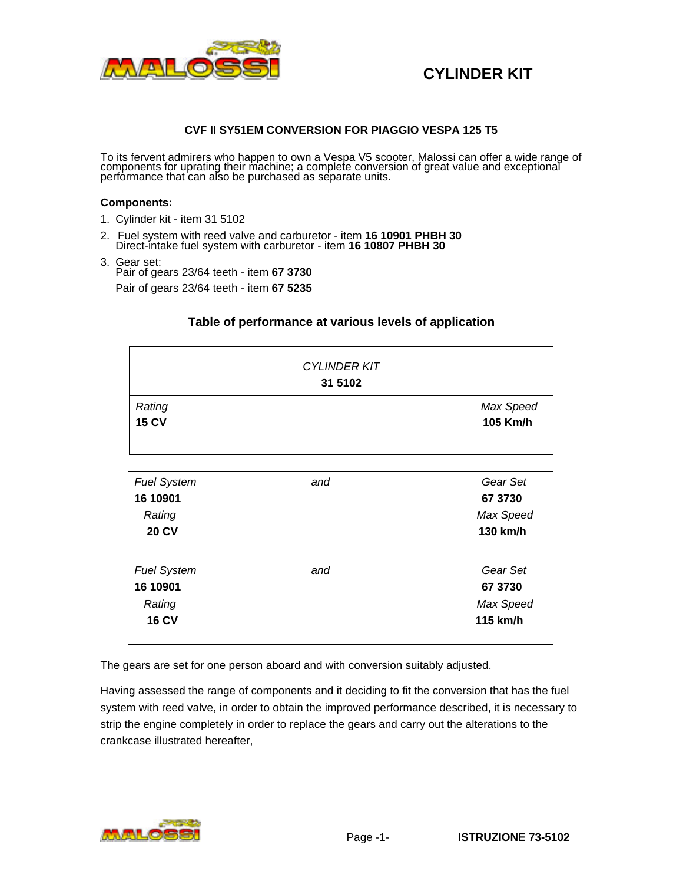

#### **CVF II SY51EM CONVERSION FOR PIAGGIO VESPA 125 T5**

To its fervent admirers who happen to own a Vespa V5 scooter, Malossi can offer a wide range of components for uprating their machine; a complete conversion of great value and exceptional performance that can also be purchased as separate units.

#### **Components:**

- 1. Cylinder kit item 31 5102
- 2. Fuel system with reed valve and carburetor item **16 10901 PHBH 30** Direct-intake fuel system with carburetor - item **16 10807 PHBH 30**
- 3. Gear set: Pair of gears 23/64 teeth - item **67 3730**

Pair of gears 23/64 teeth - item **67 5235**

### **Table of performance at various levels of application**

|                        | <b>CYLINDER KIT</b><br>31 5102 |                       |
|------------------------|--------------------------------|-----------------------|
| Rating<br><b>15 CV</b> |                                | Max Speed<br>105 Km/h |

| <b>Fuel System</b><br>16 10901<br>Rating<br><b>20 CV</b> | and | Gear Set<br>67 3730<br>Max Speed<br>130 km/h |
|----------------------------------------------------------|-----|----------------------------------------------|
| <b>Fuel System</b><br>16 10901<br>Rating<br><b>16 CV</b> | and | Gear Set<br>67 3730<br>Max Speed<br>115 km/h |

The gears are set for one person aboard and with conversion suitably adjusted.

Having assessed the range of components and it deciding to fit the conversion that has the fuel system with reed valve, in order to obtain the improved performance described, it is necessary to strip the engine completely in order to replace the gears and carry out the alterations to the crankcase illustrated hereafter,

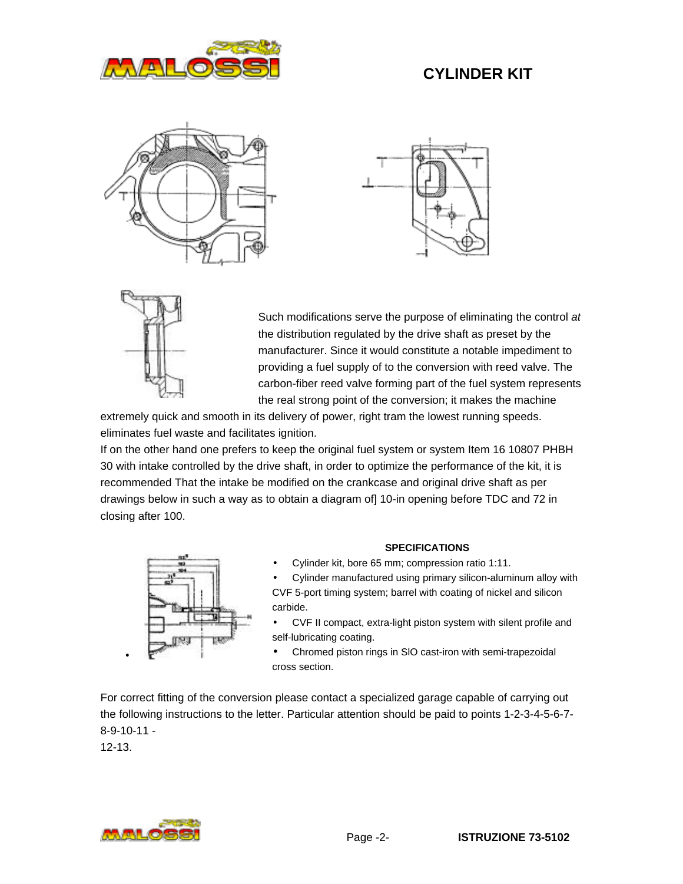







Such modifications serve the purpose of eliminating the control *at* the distribution regulated by the drive shaft as preset by the manufacturer. Since it would constitute a notable impediment to providing a fuel supply of to the conversion with reed valve. The carbon-fiber reed valve forming part of the fuel system represents the real strong point of the conversion; it makes the machine

extremely quick and smooth in its delivery of power, right tram the lowest running speeds. eliminates fuel waste and facilitates ignition.

If on the other hand one prefers to keep the original fuel system or system Item 16 10807 PHBH 30 with intake controlled by the drive shaft, in order to optimize the performance of the kit, it is recommended That the intake be modified on the crankcase and original drive shaft as per drawings below in such a way as to obtain a diagram of] 10-in opening before TDC and 72 in closing after 100.



#### **SPECIFICATIONS**

• Cylinder kit, bore 65 mm; compression ratio 1:11.

• Cylinder manufactured using primary silicon-aluminum alloy with CVF 5-port timing system; barrel with coating of nickel and silicon carbide.

• CVF II compact, extra-light piston system with silent profile and self-lubricating coating.

• Chromed piston rings in SlO cast-iron with semi-trapezoidal cross section.

For correct fitting of the conversion please contact a specialized garage capable of carrying out the following instructions to the letter. Particular attention should be paid to points 1-2-3-4-5-6-7- 8-9-10-11 - 12-13.



•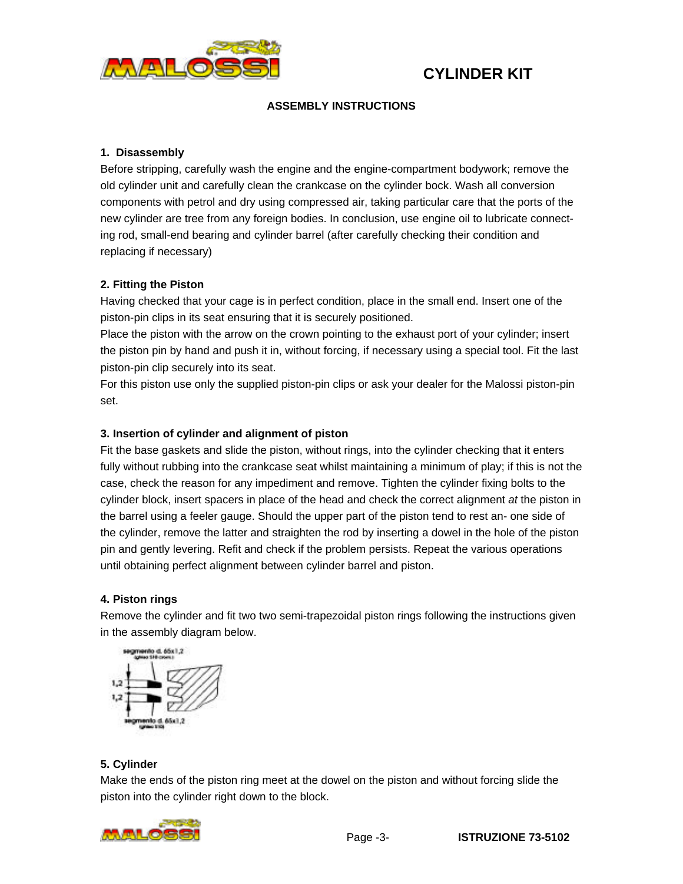

### **ASSEMBLY INSTRUCTIONS**

### **1. Disassembly**

Before stripping, carefully wash the engine and the engine-compartment bodywork; remove the old cylinder unit and carefully clean the crankcase on the cylinder bock. Wash all conversion components with petrol and dry using compressed air, taking particular care that the ports of the new cylinder are tree from any foreign bodies. In conclusion, use engine oil to lubricate connecting rod, small-end bearing and cylinder barrel (after carefully checking their condition and replacing if necessary)

### **2. Fitting the Piston**

Having checked that your cage is in perfect condition, place in the small end. Insert one of the piston-pin clips in its seat ensuring that it is securely positioned.

Place the piston with the arrow on the crown pointing to the exhaust port of your cylinder; insert the piston pin by hand and push it in, without forcing, if necessary using a special tool. Fit the last piston-pin clip securely into its seat.

For this piston use only the supplied piston-pin clips or ask your dealer for the Malossi piston-pin set.

### **3. Insertion of cylinder and alignment of piston**

Fit the base gaskets and slide the piston, without rings, into the cylinder checking that it enters fully without rubbing into the crankcase seat whilst maintaining a minimum of play; if this is not the case, check the reason for any impediment and remove. Tighten the cylinder fixing bolts to the cylinder block, insert spacers in place of the head and check the correct alignment *at* the piston in the barrel using a feeler gauge. Should the upper part of the piston tend to rest an- one side of the cylinder, remove the latter and straighten the rod by inserting a dowel in the hole of the piston pin and gently levering. Refit and check if the problem persists. Repeat the various operations until obtaining perfect alignment between cylinder barrel and piston.

#### **4. Piston rings**

Remove the cylinder and fit two two semi-trapezoidal piston rings following the instructions given in the assembly diagram below.



### **5. Cylinder**

Make the ends of the piston ring meet at the dowel on the piston and without forcing slide the piston into the cylinder right down to the block.

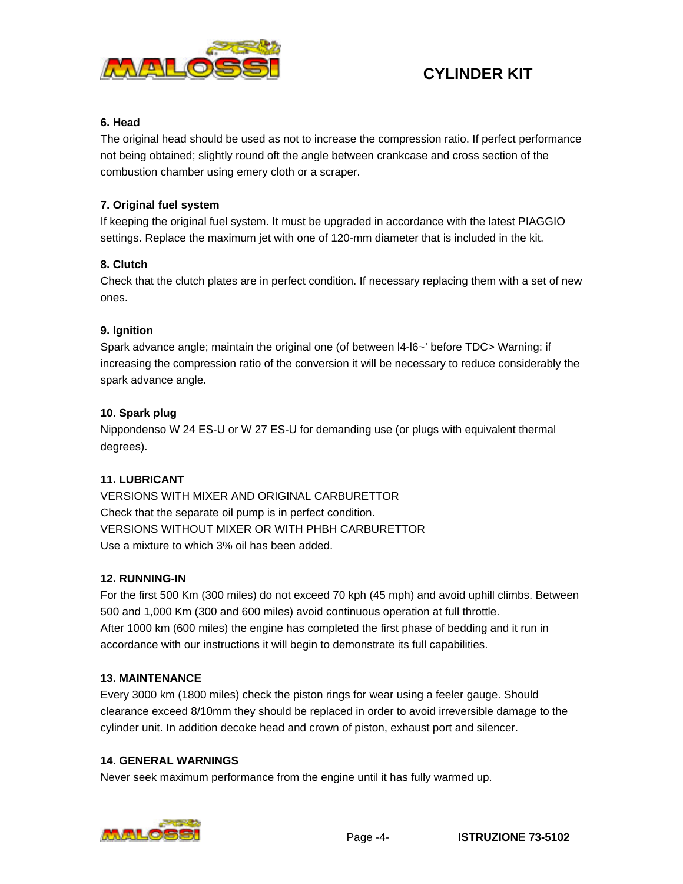

### **6. Head**

The original head should be used as not to increase the compression ratio. If perfect performance not being obtained; slightly round oft the angle between crankcase and cross section of the combustion chamber using emery cloth or a scraper.

### **7. Original fuel system**

If keeping the original fuel system. It must be upgraded in accordance with the latest PIAGGIO settings. Replace the maximum jet with one of 120-mm diameter that is included in the kit.

### **8. Clutch**

Check that the clutch plates are in perfect condition. If necessary replacing them with a set of new ones.

### **9. Ignition**

Spark advance angle; maintain the original one (of between l4-l6~' before TDC> Warning: if increasing the compression ratio of the conversion it will be necessary to reduce considerably the spark advance angle.

### **10. Spark plug**

Nippondenso W 24 ES-U or W 27 ES-U for demanding use (or plugs with equivalent thermal degrees).

### **11. LUBRICANT**

VERSIONS WITH MIXER AND ORIGINAL CARBURETTOR Check that the separate oil pump is in perfect condition. VERSIONS WITHOUT MIXER OR WITH PHBH CARBURETTOR Use a mixture to which 3% oil has been added.

### **12. RUNNING-IN**

For the first 500 Km (300 miles) do not exceed 70 kph (45 mph) and avoid uphill climbs. Between 500 and 1,000 Km (300 and 600 miles) avoid continuous operation at full throttle. After 1000 km (600 miles) the engine has completed the first phase of bedding and it run in accordance with our instructions it will begin to demonstrate its full capabilities.

### **13. MAINTENANCE**

Every 3000 km (1800 miles) check the piston rings for wear using a feeler gauge. Should clearance exceed 8/10mm they should be replaced in order to avoid irreversible damage to the cylinder unit. In addition decoke head and crown of piston, exhaust port and silencer.

### **14. GENERAL WARNINGS**

Never seek maximum performance from the engine until it has fully warmed up.